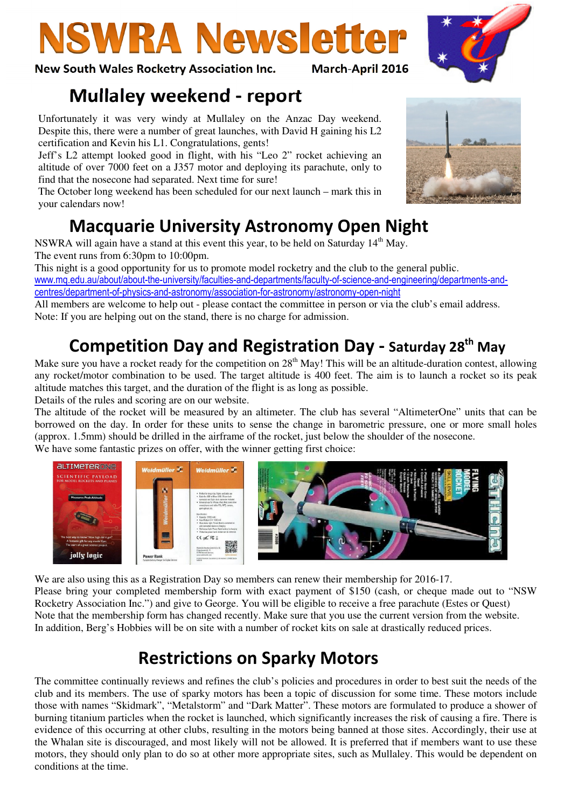# **NSWRA Newsletter**

New South Wales Rocketry Association Inc. March-April 2016

## Mullaley weekend - report

Unfortunately it was very windy at Mullaley on the Anzac Day weekend. Despite this, there were a number of great launches, with David H gaining his L2 certification and Kevin his L1. Congratulations, gents!

Jeff's L2 attempt looked good in flight, with his "Leo 2" rocket achieving an altitude of over 7000 feet on a J357 motor and deploying its parachute, only to find that the nosecone had separated. Next time for sure!

The October long weekend has been scheduled for our next launch – mark this in your calendars now!

# Macquarie University Astronomy Open Night

NSWRA will again have a stand at this event this year, to be held on Saturday  $14<sup>th</sup>$  May. The event runs from 6:30pm to 10:00pm.

This night is a good opportunity for us to promote model rocketry and the club to the general public. www.mq.edu.au/about/about-the-university/faculties-and-departments/faculty-of-science-and-engineering/departments-andcentres/department-of-physics-and-astronomy/association-for-astronomy/astronomy-open-night

All members are welcome to help out - please contact the committee in person or via the club's email address. Note: If you are helping out on the stand, there is no charge for admission.

# Competition Day and Registration Day - Saturday 28<sup>th</sup> May

Make sure you have a rocket ready for the competition on  $28<sup>th</sup>$  May! This will be an altitude-duration contest, allowing any rocket/motor combination to be used. The target altitude is 400 feet. The aim is to launch a rocket so its peak altitude matches this target, and the duration of the flight is as long as possible.

Details of the rules and scoring are on our website.

aLTIMETERONE

**SCIENTIFIC PAYLOAD** 

The altitude of the rocket will be measured by an altimeter. The club has several "AltimeterOne" units that can be borrowed on the day. In order for these units to sense the change in barometric pressure, one or more small holes (approx. 1.5mm) should be drilled in the airframe of the rocket, just below the shoulder of the nosecone.

We have some fantastic prizes on offer, with the winner getting first choice:

jolly logic We are also using this as a Registration Day so members can renew their membership for 2016-17. Please bring your completed membership form with exact payment of \$150 (cash, or cheque made out to "NSW Rocketry Association Inc.") and give to George. You will be eligible to receive a free parachute (Estes or Quest) Note that the membership form has changed recently. Make sure that you use the current version from the website.

In addition, Berg's Hobbies will be on site with a number of rocket kits on sale at drastically reduced prices.

## Restrictions on Sparky Motors

The committee continually reviews and refines the club's policies and procedures in order to best suit the needs of the club and its members. The use of sparky motors has been a topic of discussion for some time. These motors include those with names "Skidmark", "Metalstorm" and "Dark Matter". These motors are formulated to produce a shower of burning titanium particles when the rocket is launched, which significantly increases the risk of causing a fire. There is evidence of this occurring at other clubs, resulting in the motors being banned at those sites. Accordingly, their use at the Whalan site is discouraged, and most likely will not be allowed. It is preferred that if members want to use these motors, they should only plan to do so at other more appropriate sites, such as Mullaley. This would be dependent on conditions at the time.